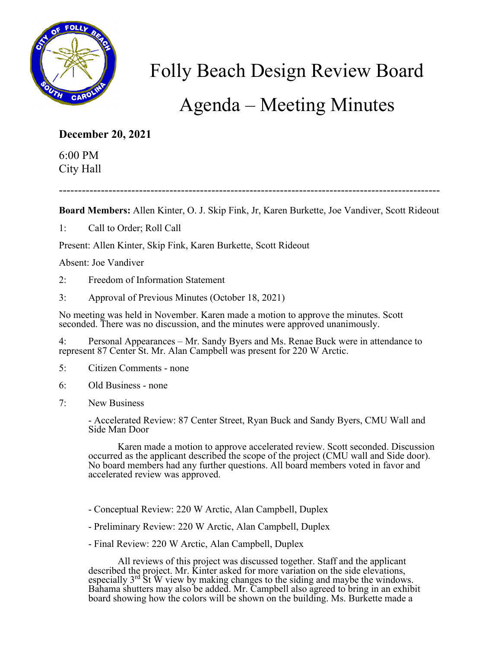

## Folly Beach Design Review Board

## Agenda – Meeting Minutes

## **December 20, 2021**

6:00 PM City Hall

----------------------------------------------------------------------------------------------------

**Board Members:** Allen Kinter, O. J. Skip Fink, Jr, Karen Burkette, Joe Vandiver, Scott Rideout

1: Call to Order; Roll Call

Present: Allen Kinter, Skip Fink, Karen Burkette, Scott Rideout

Absent: Joe Vandiver

- 2: Freedom of Information Statement
- 3: Approval of Previous Minutes (October 18, 2021)

No meeting was held in November. Karen made a motion to approve the minutes. Scott seconded. There was no discussion, and the minutes were approved unanimously.

4: Personal Appearances – Mr. Sandy Byers and Ms. Renae Buck were in attendance to represent 87 Center St. Mr. Alan Campbell was present for 220 W Arctic.

- 5: Citizen Comments none
- 6: Old Business none
- 7: New Business

- Accelerated Review: 87 Center Street, Ryan Buck and Sandy Byers, CMU Wall and Side Man Door

Karen made a motion to approve accelerated review. Scott seconded. Discussion occurred as the applicant described the scope of the project (CMU wall and Side door). No board members had any further questions. All board members voted in favor and accelerated review was approved.

- Conceptual Review: 220 W Arctic, Alan Campbell, Duplex
- Preliminary Review: 220 W Arctic, Alan Campbell, Duplex
- Final Review: 220 W Arctic, Alan Campbell, Duplex

All reviews of this project was discussed together. Staff and the applicant described the project. Mr. Kinter asked for more variation on the side elevations, especially  $3^{rd}$  St  $\tilde{W}$  view by making changes to the siding and maybe the windows. Bahama shutters may also be added. Mr. Campbell also agreed to bring in an exhibit board showing how the colors will be shown on the building. Ms. Burkette made a